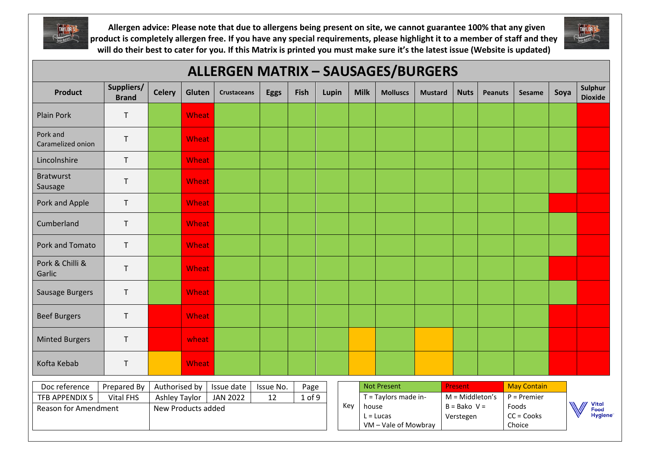



| <b>ALLERGEN MATRIX - SAUSAGES/BURGERS</b>                |                                                                   |               |              |                    |             |            |       |              |                                     |                |                             |                |                                        |      |                                        |
|----------------------------------------------------------|-------------------------------------------------------------------|---------------|--------------|--------------------|-------------|------------|-------|--------------|-------------------------------------|----------------|-----------------------------|----------------|----------------------------------------|------|----------------------------------------|
| <b>Product</b>                                           | Suppliers/<br><b>Brand</b>                                        | <b>Celery</b> | Gluten       | <b>Crustaceans</b> | <b>Eggs</b> | Fish       | Lupin | <b>Milk</b>  | <b>Molluscs</b>                     | <b>Mustard</b> | <b>Nuts</b>                 | <b>Peanuts</b> | <b>Sesame</b>                          | Soya | Sulphur<br><b>Dioxide</b>              |
| <b>Plain Pork</b>                                        | $\mathsf{T}$                                                      |               | Wheat        |                    |             |            |       |              |                                     |                |                             |                |                                        |      |                                        |
| Pork and<br>Caramelized onion                            | $\mathsf T$                                                       |               | Wheat        |                    |             |            |       |              |                                     |                |                             |                |                                        |      |                                        |
| Lincolnshire                                             | $\mathsf T$                                                       |               | Wheat        |                    |             |            |       |              |                                     |                |                             |                |                                        |      |                                        |
| <b>Bratwurst</b><br>Sausage                              | $\mathsf{T}$                                                      |               | <b>Wheat</b> |                    |             |            |       |              |                                     |                |                             |                |                                        |      |                                        |
| Pork and Apple                                           | $\mathsf{T}$                                                      |               | <b>Wheat</b> |                    |             |            |       |              |                                     |                |                             |                |                                        |      |                                        |
| Cumberland                                               | $\mathsf T$                                                       |               | Wheat        |                    |             |            |       |              |                                     |                |                             |                |                                        |      |                                        |
| Pork and Tomato                                          | $\mathsf T$                                                       |               | <b>Wheat</b> |                    |             |            |       |              |                                     |                |                             |                |                                        |      |                                        |
| Pork & Chilli &<br>Garlic                                | $\mathsf T$                                                       |               | Wheat        |                    |             |            |       |              |                                     |                |                             |                |                                        |      |                                        |
| Sausage Burgers                                          | T                                                                 |               | Wheat        |                    |             |            |       |              |                                     |                |                             |                |                                        |      |                                        |
| <b>Beef Burgers</b>                                      | $\mathsf{T}$                                                      |               | Wheat        |                    |             |            |       |              |                                     |                |                             |                |                                        |      |                                        |
| <b>Minted Burgers</b>                                    | $\mathsf{T}$                                                      |               | wheat        |                    |             |            |       |              |                                     |                |                             |                |                                        |      |                                        |
| Kofta Kebab                                              | $\mathsf{T}$                                                      |               | Wheat        |                    |             |            |       |              |                                     |                |                             |                |                                        |      |                                        |
| Doc reference                                            | Prepared By                                                       | Authorised by |              | Issue date         | Issue No.   | Page       |       |              | <b>Not Present</b>                  |                | Present                     |                | <b>May Contain</b>                     |      |                                        |
| <b>TFB APPENDIX 5</b>                                    | <b>Vital FHS</b><br><b>Ashley Taylor</b><br><b>JAN 2022</b><br>12 |               |              |                    |             | $1$ of $9$ |       |              | T = Taylors made in-                |                | $M = Middleton's$           |                | $P = Premier$                          |      |                                        |
| <b>Reason for Amendment</b><br><b>New Products added</b> |                                                                   |               |              |                    |             |            |       | Key<br>house | $L = Lucas$<br>VM - Vale of Mowbray |                | $B = Bako V =$<br>Verstegen |                | Foods<br>$CC = \text{Cooks}$<br>Choice |      | <b>Vital</b><br>Food<br><b>Hygiene</b> |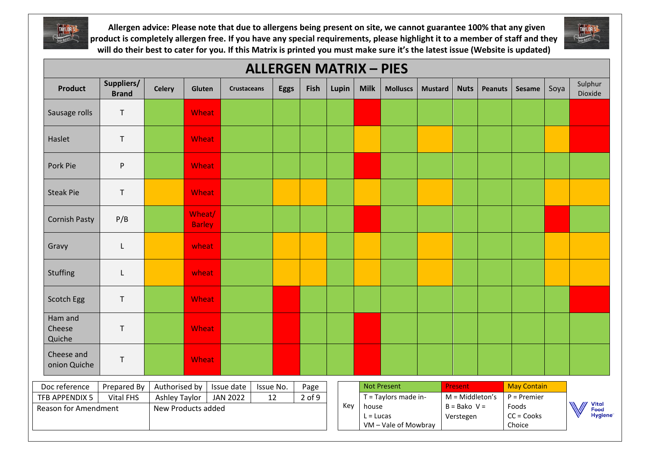



## **ALLERGEN MATRIX – PIES Product Suppliers/ Brand Celery Gluten Crustaceans Eggs Fish Lupin Milk Molluscs Mustard Nuts Peanuts Sesame** Soya Sulphur Dioxide Sausage rolls T Wheat Haslet T I Wheat Pork Pie P P P Wheat Steak Pie T Wheat Cornish Pasty P/B Wheat/ Barley Gravy | L <mark>| wheat</mark> Stuffing | L | wheat Scotch Egg T T N Wheat Ham and **Cheese** T Wheat Quiche Cheese and onion Quiche T T Wheat Not Present **Present** Present May Contain Doc reference | Prepared By | Authorised by | Issue date | Issue No. | Page TFB APPENDIX 5 Vital FHS Ashley Taylor | JAN 2022 | 12 | 2 of 9 | |  $\sqrt{7}$  = Taylors made in- $M = Middleton's$ P = Premier **Vital** Key house  $B = B$ ako V = Foods Reason for Amendment New Products added Food  $CC = \text{Cooks}$  $L = Lucas$ **Hygiene** Verstegen VM – Vale of Mowbray Choice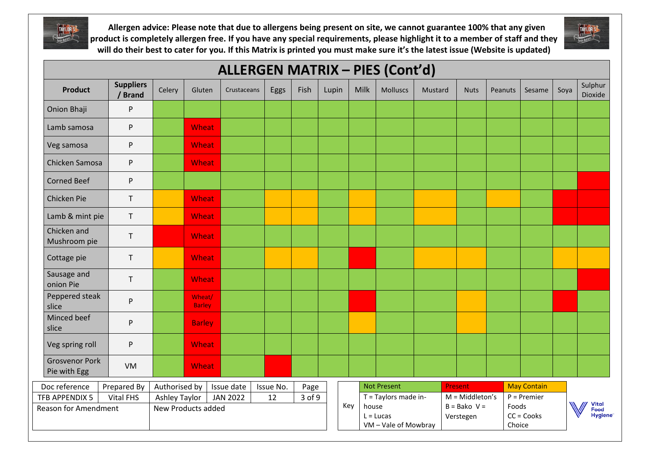



| <b>ALLERGEN MATRIX - PIES (Cont'd)</b>        |                           |                                                                               |                                                  |             |      |      |       |                                                     |             |                                                             |         |  |                                                  |                 |                                      |      |                                        |
|-----------------------------------------------|---------------------------|-------------------------------------------------------------------------------|--------------------------------------------------|-------------|------|------|-------|-----------------------------------------------------|-------------|-------------------------------------------------------------|---------|--|--------------------------------------------------|-----------------|--------------------------------------|------|----------------------------------------|
| <b>Product</b>                                | <b>Suppliers</b><br>Brand | Celery                                                                        | Gluten                                           | Crustaceans | Eggs | Fish | Lupin |                                                     | <b>Milk</b> | <b>Molluscs</b>                                             | Mustard |  | <b>Nuts</b>                                      | Peanuts         | Sesame                               | Soya | Sulphur<br>Dioxide                     |
| Onion Bhaji                                   | P                         |                                                                               |                                                  |             |      |      |       |                                                     |             |                                                             |         |  |                                                  |                 |                                      |      |                                        |
| Lamb samosa                                   | P                         |                                                                               | Wheat                                            |             |      |      |       |                                                     |             |                                                             |         |  |                                                  |                 |                                      |      |                                        |
| Veg samosa                                    | P                         |                                                                               | Wheat                                            |             |      |      |       |                                                     |             |                                                             |         |  |                                                  |                 |                                      |      |                                        |
| Chicken Samosa                                | P                         |                                                                               | Wheat                                            |             |      |      |       |                                                     |             |                                                             |         |  |                                                  |                 |                                      |      |                                        |
| <b>Corned Beef</b>                            | P                         |                                                                               |                                                  |             |      |      |       |                                                     |             |                                                             |         |  |                                                  |                 |                                      |      |                                        |
| Chicken Pie                                   | $\mathsf T$               |                                                                               | <b>Wheat</b>                                     |             |      |      |       |                                                     |             |                                                             |         |  |                                                  |                 |                                      |      |                                        |
| Lamb & mint pie                               | $\mathsf T$               |                                                                               | Wheat                                            |             |      |      |       |                                                     |             |                                                             |         |  |                                                  |                 |                                      |      |                                        |
| Chicken and<br>Mushroom pie                   | $\sf T$                   |                                                                               | Wheat                                            |             |      |      |       |                                                     |             |                                                             |         |  |                                                  |                 |                                      |      |                                        |
| Cottage pie                                   | $\mathsf T$               |                                                                               | Wheat                                            |             |      |      |       |                                                     |             |                                                             |         |  |                                                  |                 |                                      |      |                                        |
| Sausage and<br>onion Pie                      | $\mathsf{T}$              |                                                                               | Wheat                                            |             |      |      |       |                                                     |             |                                                             |         |  |                                                  |                 |                                      |      |                                        |
| Peppered steak<br>slice                       | P                         |                                                                               | Wheat/<br><b>Barley</b>                          |             |      |      |       |                                                     |             |                                                             |         |  |                                                  |                 |                                      |      |                                        |
| Minced beef<br>slice                          | P                         |                                                                               | <b>Barley</b>                                    |             |      |      |       |                                                     |             |                                                             |         |  |                                                  |                 |                                      |      |                                        |
| Veg spring roll                               | P                         |                                                                               | <b>Wheat</b>                                     |             |      |      |       |                                                     |             |                                                             |         |  |                                                  |                 |                                      |      |                                        |
| <b>Grosvenor Pork</b><br>Pie with Egg         | VM                        |                                                                               | Wheat                                            |             |      |      |       |                                                     |             |                                                             |         |  |                                                  |                 |                                      |      |                                        |
| Doc reference                                 | Prepared By               |                                                                               | Authorised by<br>Issue date<br>Issue No.<br>Page |             |      |      |       | <b>May Contain</b><br><b>Not Present</b><br>Present |             |                                                             |         |  |                                                  |                 |                                      |      |                                        |
| TFB APPENDIX 5<br><b>Reason for Amendment</b> | <b>Vital FHS</b>          | 3 of 9<br><b>Ashley Taylor</b><br><b>JAN 2022</b><br>12<br>New Products added |                                                  |             |      |      |       |                                                     | house       | T = Taylors made in-<br>$L = Lucas$<br>VM - Vale of Mowbray |         |  | $M = Middleton's$<br>$B = Bako V =$<br>Verstegen | Foods<br>Choice | $P =$ Premier<br>$CC = \text{Cooks}$ |      | <b>Vital</b><br>Food<br><b>Hygiene</b> |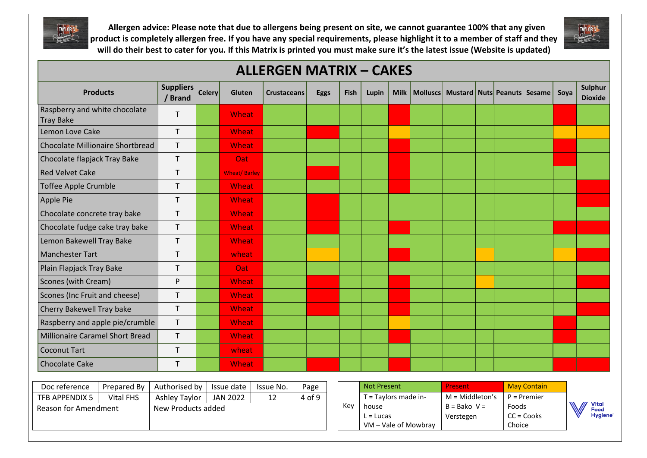



| <b>ALLERGEN MATRIX - CAKES</b>                    |             |                             |                                 |                     |                    |      |             |                    |                      |             |                      |                                              |  |                 |                     |      |                                               |
|---------------------------------------------------|-------------|-----------------------------|---------------------------------|---------------------|--------------------|------|-------------|--------------------|----------------------|-------------|----------------------|----------------------------------------------|--|-----------------|---------------------|------|-----------------------------------------------|
| <b>Products</b>                                   |             | <b>Suppliers</b><br>/ Brand | <b>Celery</b>                   | <b>Gluten</b>       | <b>Crustaceans</b> |      | <b>Eggs</b> | <b>Fish</b>        | Lupin                | <b>Milk</b> |                      | Molluscs   Mustard   Nuts   Peanuts   Sesame |  |                 |                     | Soya | Sulphur<br><b>Dioxide</b>                     |
| Raspberry and white chocolate<br><b>Tray Bake</b> |             | $\mathsf{T}$                |                                 | Wheat               |                    |      |             |                    |                      |             |                      |                                              |  |                 |                     |      |                                               |
| Lemon Love Cake                                   |             | $\mathsf{T}$                |                                 | Wheat               |                    |      |             |                    |                      |             |                      |                                              |  |                 |                     |      |                                               |
| Chocolate Millionaire Shortbread                  |             | T                           |                                 | Wheat               |                    |      |             |                    |                      |             |                      |                                              |  |                 |                     |      |                                               |
| Chocolate flapjack Tray Bake                      |             | T                           |                                 | <b>Oat</b>          |                    |      |             |                    |                      |             |                      |                                              |  |                 |                     |      |                                               |
| <b>Red Velvet Cake</b>                            |             | $\mathsf{T}$                |                                 | <b>Wheat/Barley</b> |                    |      |             |                    |                      |             |                      |                                              |  |                 |                     |      |                                               |
| <b>Toffee Apple Crumble</b>                       |             | T                           |                                 | Wheat               |                    |      |             |                    |                      |             |                      |                                              |  |                 |                     |      |                                               |
| Apple Pie                                         |             | T                           |                                 | <b>Wheat</b>        |                    |      |             |                    |                      |             |                      |                                              |  |                 |                     |      |                                               |
| Chocolate concrete tray bake                      |             | $\mathsf{T}$                |                                 | Wheat               |                    |      |             |                    |                      |             |                      |                                              |  |                 |                     |      |                                               |
| Chocolate fudge cake tray bake                    |             | T                           |                                 | Wheat               |                    |      |             |                    |                      |             |                      |                                              |  |                 |                     |      |                                               |
| Lemon Bakewell Tray Bake                          |             | $\mathsf{T}$                |                                 | Wheat               |                    |      |             |                    |                      |             |                      |                                              |  |                 |                     |      |                                               |
| <b>Manchester Tart</b>                            |             | T                           |                                 | wheat               |                    |      |             |                    |                      |             |                      |                                              |  |                 |                     |      |                                               |
| Plain Flapjack Tray Bake                          |             | $\sf T$                     |                                 | <b>Oat</b>          |                    |      |             |                    |                      |             |                      |                                              |  |                 |                     |      |                                               |
| Scones (with Cream)                               |             | P                           |                                 | Wheat               |                    |      |             |                    |                      |             |                      |                                              |  |                 |                     |      |                                               |
| Scones (Inc Fruit and cheese)                     |             | $\mathsf{T}$                |                                 | Wheat               |                    |      |             |                    |                      |             |                      |                                              |  |                 |                     |      |                                               |
| Cherry Bakewell Tray bake                         |             | $\mathsf{T}$                |                                 | Wheat               |                    |      |             |                    |                      |             |                      |                                              |  |                 |                     |      |                                               |
| Raspberry and apple pie/crumble                   |             | $\mathsf T$                 |                                 | Wheat               |                    |      |             |                    |                      |             |                      |                                              |  |                 |                     |      |                                               |
| <b>Millionaire Caramel Short Bread</b>            |             | $\mathsf{T}$                |                                 | Wheat               |                    |      |             |                    |                      |             |                      |                                              |  |                 |                     |      |                                               |
| <b>Coconut Tart</b>                               |             | $\top$                      |                                 | wheat               |                    |      |             |                    |                      |             |                      |                                              |  |                 |                     |      |                                               |
| <b>Chocolate Cake</b>                             |             | $\mathsf{T}$                |                                 | Wheat               |                    |      |             |                    |                      |             |                      |                                              |  |                 |                     |      |                                               |
| Doc reference                                     | Prepared By | Authorised by               |                                 | Issue date          | Issue No.          | Page |             | <b>Not Present</b> |                      |             |                      | Present                                      |  |                 | <b>May Contain</b>  |      |                                               |
| TFB APPENDIX 5<br><b>Vital FHS</b>                |             | Ashley Taylor               | 12<br>4 of 9<br><b>JAN 2022</b> |                     |                    |      |             |                    | T = Taylors made in- |             |                      | $M = Middleton's$                            |  |                 | $P = Premier$       |      |                                               |
| <b>Reason for Amendment</b>                       |             | New Products added          |                                 |                     |                    |      |             | Key                | house<br>$L = Lucas$ |             | VM - Vale of Mowbray | $B = Bako V =$<br>Verstegen                  |  | Foods<br>Choice | $CC = \text{Cooks}$ |      | <b>Vital</b><br><b>Food</b><br><b>Hygiene</b> |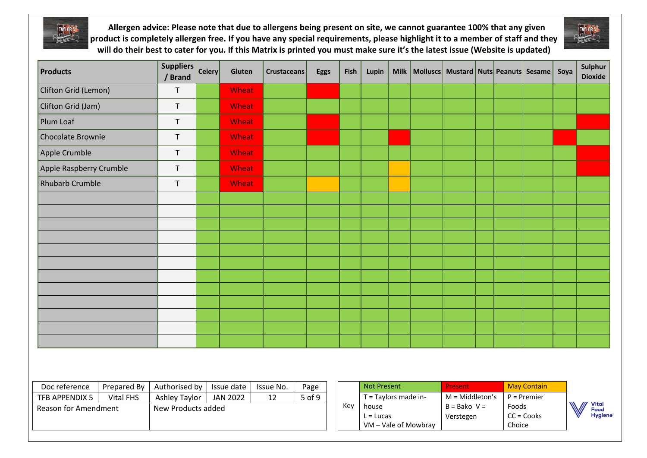



| Products                     |                             | Suppliers<br>/ Brand                    | <b>Celery</b>      | Gluten       | <b>Crustaceans</b> | <b>Eggs</b> | Fish               | Lupin                |         |                      | Milk   Molluscs   Mustard   Nuts   Peanuts   Sesame   Soya |  |                 |                     |  | Sulphur<br><b>Dioxide</b> |
|------------------------------|-----------------------------|-----------------------------------------|--------------------|--------------|--------------------|-------------|--------------------|----------------------|---------|----------------------|------------------------------------------------------------|--|-----------------|---------------------|--|---------------------------|
| Clifton Grid (Lemon)         |                             | $\mathsf T$                             |                    | Wheat        |                    |             |                    |                      |         |                      |                                                            |  |                 |                     |  |                           |
| Clifton Grid (Jam)           |                             | $\top$                                  |                    | <b>Wheat</b> |                    |             |                    |                      |         |                      |                                                            |  |                 |                     |  |                           |
| Plum Loaf                    |                             | $\mathsf T$                             |                    | Wheat        |                    |             |                    |                      |         |                      |                                                            |  |                 |                     |  |                           |
| <b>Chocolate Brownie</b>     |                             | $\mathsf{T}$                            |                    | Wheat        |                    |             |                    |                      |         |                      |                                                            |  |                 |                     |  |                           |
| Apple Crumble                |                             | $\mathsf{T}$                            |                    | <b>Wheat</b> |                    |             |                    |                      |         |                      |                                                            |  |                 |                     |  |                           |
| Apple Raspberry Crumble      |                             | $\top$                                  |                    | Wheat        |                    |             |                    |                      |         |                      |                                                            |  |                 |                     |  |                           |
| <b>Rhubarb Crumble</b>       |                             | $\top$                                  |                    | Wheat        |                    |             |                    |                      |         |                      |                                                            |  |                 |                     |  |                           |
|                              |                             |                                         |                    |              |                    |             |                    |                      |         |                      |                                                            |  |                 |                     |  |                           |
|                              |                             |                                         |                    |              |                    |             |                    |                      |         |                      |                                                            |  |                 |                     |  |                           |
|                              |                             |                                         |                    |              |                    |             |                    |                      |         |                      |                                                            |  |                 |                     |  |                           |
|                              |                             |                                         |                    |              |                    |             |                    |                      |         |                      |                                                            |  |                 |                     |  |                           |
|                              |                             |                                         |                    |              |                    |             |                    |                      |         |                      |                                                            |  |                 |                     |  |                           |
|                              |                             |                                         |                    |              |                    |             |                    |                      |         |                      |                                                            |  |                 |                     |  |                           |
|                              |                             |                                         |                    |              |                    |             |                    |                      |         |                      |                                                            |  |                 |                     |  |                           |
|                              |                             |                                         |                    |              |                    |             |                    |                      |         |                      |                                                            |  |                 |                     |  |                           |
|                              |                             |                                         |                    |              |                    |             |                    |                      |         |                      |                                                            |  |                 |                     |  |                           |
|                              |                             |                                         |                    |              |                    |             |                    |                      |         |                      |                                                            |  |                 |                     |  |                           |
|                              |                             |                                         |                    |              |                    |             |                    |                      |         |                      |                                                            |  |                 |                     |  |                           |
|                              |                             |                                         |                    |              |                    |             |                    |                      |         |                      |                                                            |  |                 |                     |  |                           |
|                              |                             |                                         |                    |              |                    |             |                    |                      |         |                      |                                                            |  |                 |                     |  |                           |
| Doc reference<br>Prepared By |                             | Authorised by<br>Issue date             |                    | Issue No.    | Page               |             | <b>Not Present</b> |                      | Present |                      | <b>May Contain</b>                                         |  |                 |                     |  |                           |
| TFB APPENDIX 5               | <b>Vital FHS</b>            | <b>Ashley Taylor</b><br><b>JAN 2022</b> |                    |              | 12                 | 5 of 9      | Key                | T = Taylors made in- |         |                      | $M = Middleton's$                                          |  |                 | $P =$ Premier       |  |                           |
|                              | <b>Reason for Amendment</b> |                                         | New Products added |              |                    |             |                    | house<br>$L = Lucas$ |         | VM - Vale of Mowbray | $B = Bako V =$<br>Verstegen                                |  | Foods<br>Choice | $CC = \text{Cooks}$ |  | Vital<br>Food<br>Hygiene  |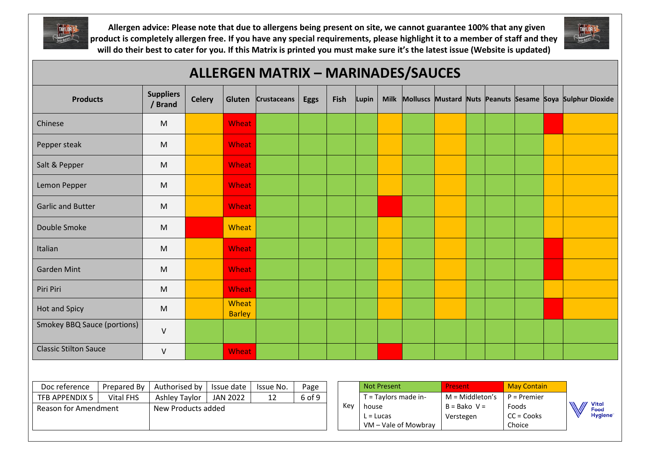



| <b>ALLERGEN MATRIX - MARINADES/SAUCES</b> |                  |                             |                      |                        |             |             |      |                      |                                              |  |                   |                             |  |                        |                     |                                                           |
|-------------------------------------------|------------------|-----------------------------|----------------------|------------------------|-------------|-------------|------|----------------------|----------------------------------------------|--|-------------------|-----------------------------|--|------------------------|---------------------|-----------------------------------------------------------|
| <b>Products</b>                           |                  | <b>Suppliers</b><br>/ Brand | <b>Celery</b>        | Gluten                 | Crustaceans | <b>Eggs</b> | Fish | Lupin                | <b>Milk</b>                                  |  |                   |                             |  |                        |                     | Molluscs Mustard Nuts Peanuts Sesame Soya Sulphur Dioxide |
| Chinese                                   |                  | M                           |                      | Wheat                  |             |             |      |                      |                                              |  |                   |                             |  |                        |                     |                                                           |
| Pepper steak                              |                  | ${\sf M}$                   |                      | Wheat                  |             |             |      |                      |                                              |  |                   |                             |  |                        |                     |                                                           |
| Salt & Pepper                             |                  | M                           |                      | Wheat                  |             |             |      |                      |                                              |  |                   |                             |  |                        |                     |                                                           |
| Lemon Pepper                              |                  | ${\sf M}$                   |                      | Wheat                  |             |             |      |                      |                                              |  |                   |                             |  |                        |                     |                                                           |
| <b>Garlic and Butter</b>                  |                  | M                           |                      | Wheat                  |             |             |      |                      |                                              |  |                   |                             |  |                        |                     |                                                           |
| Double Smoke                              |                  | ${\sf M}$                   |                      | Wheat                  |             |             |      |                      |                                              |  |                   |                             |  |                        |                     |                                                           |
| Italian                                   |                  | M                           |                      | <b>Wheat</b>           |             |             |      |                      |                                              |  |                   |                             |  |                        |                     |                                                           |
| <b>Garden Mint</b>                        |                  | M                           |                      | Wheat                  |             |             |      |                      |                                              |  |                   |                             |  |                        |                     |                                                           |
| Piri Piri                                 |                  | ${\sf M}$                   |                      | Wheat                  |             |             |      |                      |                                              |  |                   |                             |  |                        |                     |                                                           |
| <b>Hot and Spicy</b>                      |                  | ${\sf M}$                   |                      | Wheat<br><b>Barley</b> |             |             |      |                      |                                              |  |                   |                             |  |                        |                     |                                                           |
| <b>Smokey BBQ Sauce (portions)</b>        |                  | $\sf V$                     |                      |                        |             |             |      |                      |                                              |  |                   |                             |  |                        |                     |                                                           |
| <b>Classic Stilton Sauce</b>              |                  | $\vee$                      |                      | Wheat                  |             |             |      |                      |                                              |  |                   |                             |  |                        |                     |                                                           |
|                                           |                  |                             |                      |                        |             |             |      |                      |                                              |  |                   |                             |  |                        |                     |                                                           |
| Doc reference<br>Prepared By              |                  | Authorised by               |                      | Issue date             | Issue No.   | Page        |      |                      | <b>Not Present</b>                           |  | Present           |                             |  | <b>May Contain</b>     |                     |                                                           |
| TFB APPENDIX 5                            | <b>Vital FHS</b> |                             | <b>Ashley Taylor</b> | <b>JAN 2022</b>        | 12          | 6 of 9      |      | T = Taylors made in- |                                              |  | $M = Middleton's$ |                             |  | $P = Premier$<br>Foods |                     |                                                           |
| <b>Reason for Amendment</b>               |                  | New Products added          |                      |                        |             |             |      | Key                  | house<br>$L = Lucas$<br>VM - Vale of Mowbray |  |                   | $B = Bako V =$<br>Verstegen |  |                        | $CC = \text{Cooks}$ | <b>Vital</b><br>Food<br>Hygiene <sup>®</sup>              |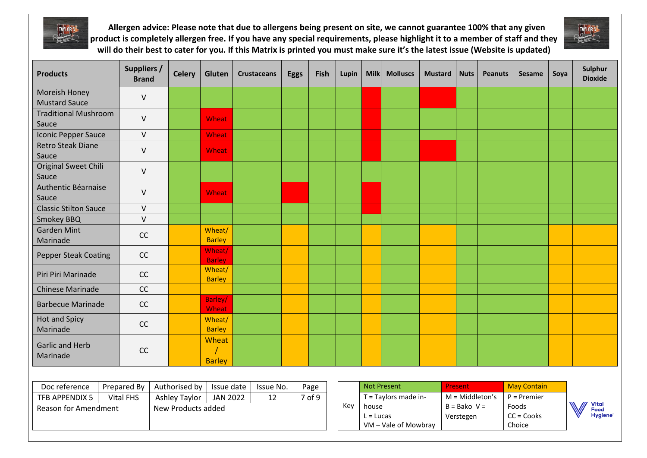



| <b>Products</b>                       | <b>Suppliers /</b><br><b>Brand</b> | <b>Celery</b>      | Gluten                  | <b>Crustaceans</b> | <b>Eggs</b> | Fish   | Lupin | <b>Milk</b>          | <b>Molluscs</b>      | <b>Mustard</b> | <b>Nuts</b>                 | <b>Peanuts</b> | <b>Sesame</b>                          | Soya | Sulphur<br><b>Dioxide</b>                    |
|---------------------------------------|------------------------------------|--------------------|-------------------------|--------------------|-------------|--------|-------|----------------------|----------------------|----------------|-----------------------------|----------------|----------------------------------------|------|----------------------------------------------|
| Moreish Honey<br><b>Mustard Sauce</b> | $\vee$                             |                    |                         |                    |             |        |       |                      |                      |                |                             |                |                                        |      |                                              |
| <b>Traditional Mushroom</b><br>Sauce  | $\vee$                             |                    | Wheat                   |                    |             |        |       |                      |                      |                |                             |                |                                        |      |                                              |
| <b>Iconic Pepper Sauce</b>            | $\mathsf V$                        |                    | Wheat                   |                    |             |        |       |                      |                      |                |                             |                |                                        |      |                                              |
| <b>Retro Steak Diane</b><br>Sauce     | $\sf V$                            |                    | Wheat                   |                    |             |        |       |                      |                      |                |                             |                |                                        |      |                                              |
| Original Sweet Chili<br>Sauce         | $\sf V$                            |                    |                         |                    |             |        |       |                      |                      |                |                             |                |                                        |      |                                              |
| Authentic Béarnaise<br>Sauce          | V                                  |                    | <b>Wheat</b>            |                    |             |        |       |                      |                      |                |                             |                |                                        |      |                                              |
| <b>Classic Stilton Sauce</b>          | $\sf V$                            |                    |                         |                    |             |        |       |                      |                      |                |                             |                |                                        |      |                                              |
| <b>Smokey BBQ</b>                     | $\mathsf{V}$                       |                    |                         |                    |             |        |       |                      |                      |                |                             |                |                                        |      |                                              |
| <b>Garden Mint</b><br>Marinade        | CC                                 |                    | Wheat/<br><b>Barley</b> |                    |             |        |       |                      |                      |                |                             |                |                                        |      |                                              |
| <b>Pepper Steak Coating</b>           | CC                                 |                    | Wheat/<br><b>Barley</b> |                    |             |        |       |                      |                      |                |                             |                |                                        |      |                                              |
| Piri Piri Marinade                    | CC                                 |                    | Wheat/<br><b>Barley</b> |                    |             |        |       |                      |                      |                |                             |                |                                        |      |                                              |
| <b>Chinese Marinade</b>               | CC                                 |                    |                         |                    |             |        |       |                      |                      |                |                             |                |                                        |      |                                              |
| <b>Barbecue Marinade</b>              | CC                                 |                    | Barley/<br>Wheat        |                    |             |        |       |                      |                      |                |                             |                |                                        |      |                                              |
| <b>Hot and Spicy</b><br>Marinade      | CC                                 |                    | Wheat/<br><b>Barley</b> |                    |             |        |       |                      |                      |                |                             |                |                                        |      |                                              |
| <b>Garlic and Herb</b><br>Marinade    | CC                                 |                    | Wheat<br><b>Barley</b>  |                    |             |        |       |                      |                      |                |                             |                |                                        |      |                                              |
|                                       |                                    |                    |                         |                    |             |        |       |                      |                      |                |                             |                |                                        |      |                                              |
| Doc reference                         | Prepared By<br>Authorised by       |                    | Issue date              | Issue No.          |             | Page   |       |                      | <b>Not Present</b>   |                | Present                     |                | <b>May Contain</b>                     |      |                                              |
| TFB APPENDIX 5<br><b>Vital FHS</b>    |                                    | Ashley Taylor      | <b>JAN 2022</b>         | 12                 |             | 7 of 9 |       |                      | T = Taylors made in- |                | $M = Middleton's$           |                | $P =$ Premier                          |      |                                              |
| <b>Reason for Amendment</b>           |                                    | New Products added |                         |                    |             |        | Key   | house<br>$L = Lucas$ | VM - Vale of Mowbray |                | $B = Bako V =$<br>Verstegen |                | Foods<br>$CC = \text{Cooks}$<br>Choice |      | <b>Vital</b><br>Food<br>Hygiene <sup>®</sup> |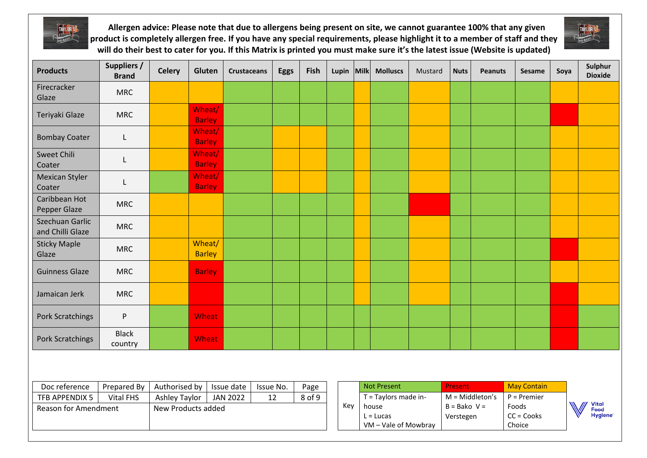



| <b>Products</b>                     | <b>Suppliers /</b><br><b>Brand</b>                          | <b>Celery</b>      | Gluten                  | <b>Crustaceans</b> | <b>Eggs</b> | Fish                 | Lupin                | Milk | <b>Molluscs</b>    | Mustard           | <b>Nuts</b>    | <b>Peanuts</b> | <b>Sesame</b>       | Soya | Sulphur<br><b>Dioxide</b> |
|-------------------------------------|-------------------------------------------------------------|--------------------|-------------------------|--------------------|-------------|----------------------|----------------------|------|--------------------|-------------------|----------------|----------------|---------------------|------|---------------------------|
| Firecracker<br>Glaze                | <b>MRC</b>                                                  |                    |                         |                    |             |                      |                      |      |                    |                   |                |                |                     |      |                           |
| Teriyaki Glaze                      | <b>MRC</b>                                                  |                    | Wheat/<br><b>Barley</b> |                    |             |                      |                      |      |                    |                   |                |                |                     |      |                           |
| <b>Bombay Coater</b>                | L.                                                          |                    | Wheat/<br><b>Barley</b> |                    |             |                      |                      |      |                    |                   |                |                |                     |      |                           |
| <b>Sweet Chili</b><br>Coater        | L                                                           |                    | Wheat/<br><b>Barley</b> |                    |             |                      |                      |      |                    |                   |                |                |                     |      |                           |
| <b>Mexican Styler</b><br>Coater     |                                                             |                    | Wheat/<br><b>Barley</b> |                    |             |                      |                      |      |                    |                   |                |                |                     |      |                           |
| Caribbean Hot<br>Pepper Glaze       | <b>MRC</b>                                                  |                    |                         |                    |             |                      |                      |      |                    |                   |                |                |                     |      |                           |
| Szechuan Garlic<br>and Chilli Glaze | <b>MRC</b>                                                  |                    |                         |                    |             |                      |                      |      |                    |                   |                |                |                     |      |                           |
| <b>Sticky Maple</b><br>Glaze        | <b>MRC</b>                                                  |                    | Wheat/<br><b>Barley</b> |                    |             |                      |                      |      |                    |                   |                |                |                     |      |                           |
| <b>Guinness Glaze</b>               | <b>MRC</b>                                                  |                    | <b>Barley</b>           |                    |             |                      |                      |      |                    |                   |                |                |                     |      |                           |
| Jamaican Jerk                       | <b>MRC</b>                                                  |                    |                         |                    |             |                      |                      |      |                    |                   |                |                |                     |      |                           |
| <b>Pork Scratchings</b>             | P                                                           |                    | Wheat                   |                    |             |                      |                      |      |                    |                   |                |                |                     |      |                           |
| Pork Scratchings                    | <b>Black</b><br>country                                     |                    | Wheat                   |                    |             |                      |                      |      |                    |                   |                |                |                     |      |                           |
|                                     |                                                             |                    |                         |                    |             |                      |                      |      |                    |                   |                |                |                     |      |                           |
| Doc reference                       | Prepared By                                                 | Authorised by      |                         | Issue date         | Issue No.   | Page                 |                      |      | <b>Not Present</b> |                   | Present        |                | <b>May Contain</b>  |      |                           |
| TFB APPENDIX 5                      | <b>Vital FHS</b><br><b>Ashley Taylor</b><br><b>JAN 2022</b> |                    | 12                      | 8 of 9             |             | T = Taylors made in- |                      |      |                    | $M = Middleton's$ | $P =$ Premier  |                |                     |      |                           |
| <b>Reason for Amendment</b>         |                                                             | New Products added |                         |                    |             |                      | Key                  |      | house              |                   | $B = Bako V =$ |                | Foods               |      | <b>Vital</b><br>Food      |
|                                     |                                                             |                    |                         |                    |             |                      |                      |      | $L = Lucas$        |                   | Verstegen      |                | $CC = \text{Cooks}$ |      | Hygiene <sup>®</sup>      |
|                                     |                                                             |                    |                         |                    |             |                      | VM - Vale of Mowbray |      |                    |                   |                | Choice         |                     |      |                           |